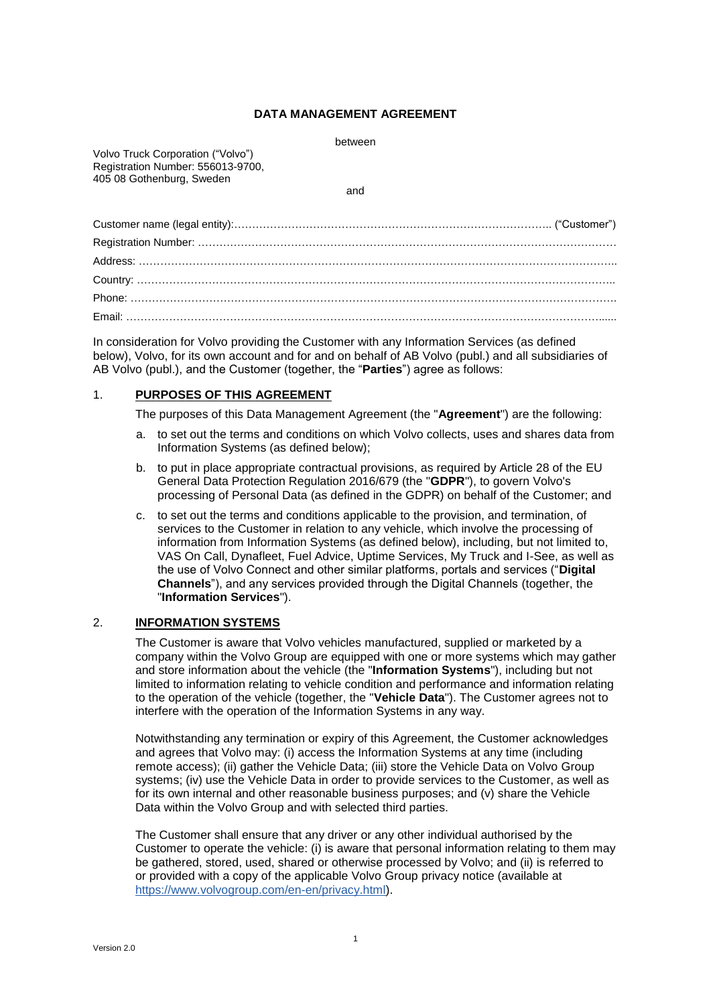## **DATA MANAGEMENT AGREEMENT**

Volvo Truck Corporation ("Volvo") Registration Number: 556013-9700, 405 08 Gothenburg, Sweden

and

In consideration for Volvo providing the Customer with any Information Services (as defined below), Volvo, for its own account and for and on behalf of AB Volvo (publ.) and all subsidiaries of AB Volvo (publ.), and the Customer (together, the "**Parties**") agree as follows:

# 1. **PURPOSES OF THIS AGREEMENT**

The purposes of this Data Management Agreement (the "**Agreement**") are the following:

- a. to set out the terms and conditions on which Volvo collects, uses and shares data from Information Systems (as defined below);
- b. to put in place appropriate contractual provisions, as required by Article 28 of the EU General Data Protection Regulation 2016/679 (the "**GDPR**"), to govern Volvo's processing of Personal Data (as defined in the GDPR) on behalf of the Customer; and
- c. to set out the terms and conditions applicable to the provision, and termination, of services to the Customer in relation to any vehicle, which involve the processing of information from Information Systems (as defined below), including, but not limited to, VAS On Call, Dynafleet, Fuel Advice, Uptime Services, My Truck and I-See, as well as the use of Volvo Connect and other similar platforms, portals and services ("**Digital Channels**"), and any services provided through the Digital Channels (together, the "**Information Services**").

### 2. **INFORMATION SYSTEMS**

The Customer is aware that Volvo vehicles manufactured, supplied or marketed by a company within the Volvo Group are equipped with one or more systems which may gather and store information about the vehicle (the "**Information Systems**"), including but not limited to information relating to vehicle condition and performance and information relating to the operation of the vehicle (together, the "**Vehicle Data**"). The Customer agrees not to interfere with the operation of the Information Systems in any way.

Notwithstanding any termination or expiry of this Agreement, the Customer acknowledges and agrees that Volvo may: (i) access the Information Systems at any time (including remote access); (ii) gather the Vehicle Data; (iii) store the Vehicle Data on Volvo Group systems; (iv) use the Vehicle Data in order to provide services to the Customer, as well as for its own internal and other reasonable business purposes; and (v) share the Vehicle Data within the Volvo Group and with selected third parties.

The Customer shall ensure that any driver or any other individual authorised by the Customer to operate the vehicle: (i) is aware that personal information relating to them may be gathered, stored, used, shared or otherwise processed by Volvo; and (ii) is referred to or provided with a copy of the applicable Volvo Group privacy notice (available at [https://www.volvogroup.com/en-en/privacy.html\)](https://www.volvogroup.com/en-en/privacy.html).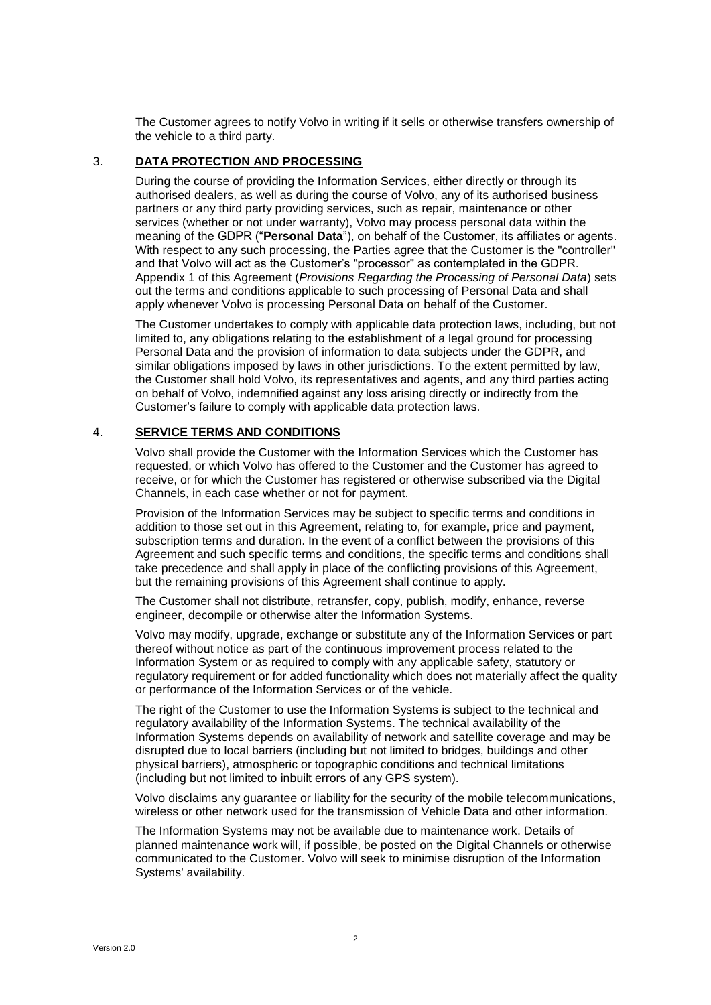The Customer agrees to notify Volvo in writing if it sells or otherwise transfers ownership of the vehicle to a third party.

## 3. **DATA PROTECTION AND PROCESSING**

During the course of providing the Information Services, either directly or through its authorised dealers, as well as during the course of Volvo, any of its authorised business partners or any third party providing services, such as repair, maintenance or other services (whether or not under warranty), Volvo may process personal data within the meaning of the GDPR ("**Personal Data**"), on behalf of the Customer, its affiliates or agents. With respect to any such processing, the Parties agree that the Customer is the "controller" and that Volvo will act as the Customer's "processor" as contemplated in the GDPR. [Appendix](#page-5-0) 1 of this Agreement (*[Provisions Regarding the Processing of Personal Data](#page-5-0)*) sets out the terms and conditions applicable to such processing of Personal Data and shall apply whenever Volvo is processing Personal Data on behalf of the Customer.

The Customer undertakes to comply with applicable data protection laws, including, but not limited to, any obligations relating to the establishment of a legal ground for processing Personal Data and the provision of information to data subjects under the GDPR, and similar obligations imposed by laws in other jurisdictions. To the extent permitted by law, the Customer shall hold Volvo, its representatives and agents, and any third parties acting on behalf of Volvo, indemnified against any loss arising directly or indirectly from the Customer's failure to comply with applicable data protection laws.

### 4. **SERVICE TERMS AND CONDITIONS**

Volvo shall provide the Customer with the Information Services which the Customer has requested, or which Volvo has offered to the Customer and the Customer has agreed to receive, or for which the Customer has registered or otherwise subscribed via the Digital Channels, in each case whether or not for payment.

Provision of the Information Services may be subject to specific terms and conditions in addition to those set out in this Agreement, relating to, for example, price and payment, subscription terms and duration. In the event of a conflict between the provisions of this Agreement and such specific terms and conditions, the specific terms and conditions shall take precedence and shall apply in place of the conflicting provisions of this Agreement, but the remaining provisions of this Agreement shall continue to apply.

The Customer shall not distribute, retransfer, copy, publish, modify, enhance, reverse engineer, decompile or otherwise alter the Information Systems.

Volvo may modify, upgrade, exchange or substitute any of the Information Services or part thereof without notice as part of the continuous improvement process related to the Information System or as required to comply with any applicable safety, statutory or regulatory requirement or for added functionality which does not materially affect the quality or performance of the Information Services or of the vehicle.

The right of the Customer to use the Information Systems is subject to the technical and regulatory availability of the Information Systems. The technical availability of the Information Systems depends on availability of network and satellite coverage and may be disrupted due to local barriers (including but not limited to bridges, buildings and other physical barriers), atmospheric or topographic conditions and technical limitations (including but not limited to inbuilt errors of any GPS system).

Volvo disclaims any guarantee or liability for the security of the mobile telecommunications, wireless or other network used for the transmission of Vehicle Data and other information.

The Information Systems may not be available due to maintenance work. Details of planned maintenance work will, if possible, be posted on the Digital Channels or otherwise communicated to the Customer. Volvo will seek to minimise disruption of the Information Systems' availability.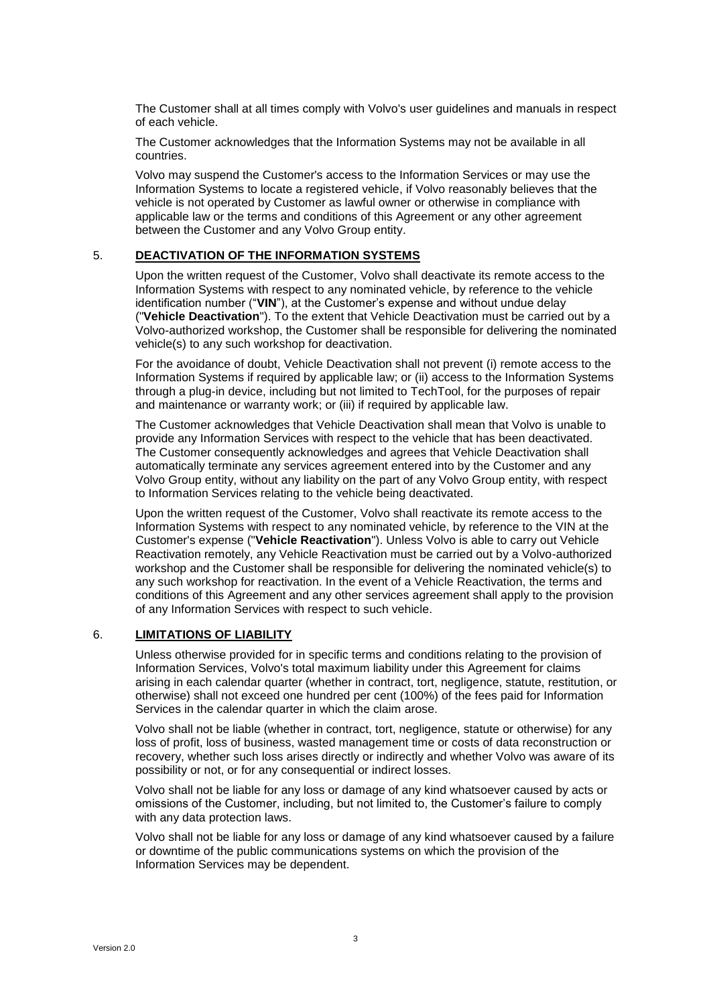The Customer shall at all times comply with Volvo's user guidelines and manuals in respect of each vehicle.

The Customer acknowledges that the Information Systems may not be available in all countries.

Volvo may suspend the Customer's access to the Information Services or may use the Information Systems to locate a registered vehicle, if Volvo reasonably believes that the vehicle is not operated by Customer as lawful owner or otherwise in compliance with applicable law or the terms and conditions of this Agreement or any other agreement between the Customer and any Volvo Group entity.

# 5. **DEACTIVATION OF THE INFORMATION SYSTEMS**

Upon the written request of the Customer, Volvo shall deactivate its remote access to the Information Systems with respect to any nominated vehicle, by reference to the vehicle identification number ("**VIN**"), at the Customer's expense and without undue delay ("**Vehicle Deactivation**"). To the extent that Vehicle Deactivation must be carried out by a Volvo-authorized workshop, the Customer shall be responsible for delivering the nominated vehicle(s) to any such workshop for deactivation.

For the avoidance of doubt, Vehicle Deactivation shall not prevent (i) remote access to the Information Systems if required by applicable law; or (ii) access to the Information Systems through a plug-in device, including but not limited to TechTool, for the purposes of repair and maintenance or warranty work; or (iii) if required by applicable law.

The Customer acknowledges that Vehicle Deactivation shall mean that Volvo is unable to provide any Information Services with respect to the vehicle that has been deactivated. The Customer consequently acknowledges and agrees that Vehicle Deactivation shall automatically terminate any services agreement entered into by the Customer and any Volvo Group entity, without any liability on the part of any Volvo Group entity, with respect to Information Services relating to the vehicle being deactivated.

Upon the written request of the Customer, Volvo shall reactivate its remote access to the Information Systems with respect to any nominated vehicle, by reference to the VIN at the Customer's expense ("**Vehicle Reactivation**"). Unless Volvo is able to carry out Vehicle Reactivation remotely, any Vehicle Reactivation must be carried out by a Volvo-authorized workshop and the Customer shall be responsible for delivering the nominated vehicle(s) to any such workshop for reactivation. In the event of a Vehicle Reactivation, the terms and conditions of this Agreement and any other services agreement shall apply to the provision of any Information Services with respect to such vehicle.

# 6. **LIMITATIONS OF LIABILITY**

Unless otherwise provided for in specific terms and conditions relating to the provision of Information Services, Volvo's total maximum liability under this Agreement for claims arising in each calendar quarter (whether in contract, tort, negligence, statute, restitution, or otherwise) shall not exceed one hundred per cent (100%) of the fees paid for Information Services in the calendar quarter in which the claim arose.

Volvo shall not be liable (whether in contract, tort, negligence, statute or otherwise) for any loss of profit, loss of business, wasted management time or costs of data reconstruction or recovery, whether such loss arises directly or indirectly and whether Volvo was aware of its possibility or not, or for any consequential or indirect losses.

Volvo shall not be liable for any loss or damage of any kind whatsoever caused by acts or omissions of the Customer, including, but not limited to, the Customer's failure to comply with any data protection laws.

Volvo shall not be liable for any loss or damage of any kind whatsoever caused by a failure or downtime of the public communications systems on which the provision of the Information Services may be dependent.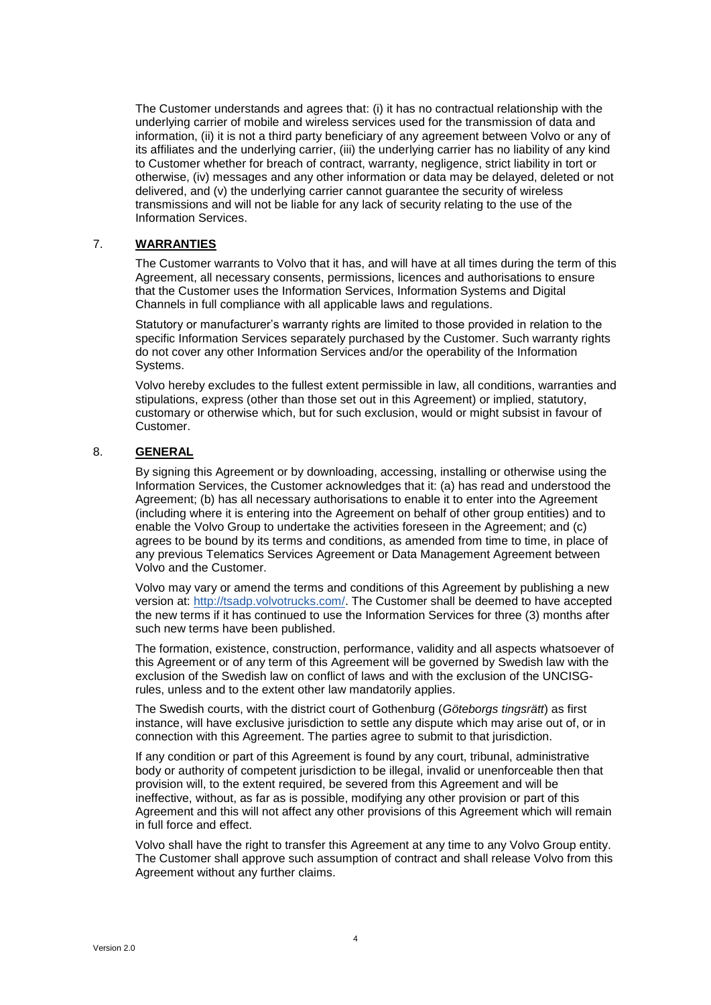The Customer understands and agrees that: (i) it has no contractual relationship with the underlying carrier of mobile and wireless services used for the transmission of data and information, (ii) it is not a third party beneficiary of any agreement between Volvo or any of its affiliates and the underlying carrier, (iii) the underlying carrier has no liability of any kind to Customer whether for breach of contract, warranty, negligence, strict liability in tort or otherwise, (iv) messages and any other information or data may be delayed, deleted or not delivered, and (v) the underlying carrier cannot guarantee the security of wireless transmissions and will not be liable for any lack of security relating to the use of the Information Services.

## 7. **WARRANTIES**

The Customer warrants to Volvo that it has, and will have at all times during the term of this Agreement, all necessary consents, permissions, licences and authorisations to ensure that the Customer uses the Information Services, Information Systems and Digital Channels in full compliance with all applicable laws and regulations.

Statutory or manufacturer's warranty rights are limited to those provided in relation to the specific Information Services separately purchased by the Customer. Such warranty rights do not cover any other Information Services and/or the operability of the Information Systems.

Volvo hereby excludes to the fullest extent permissible in law, all conditions, warranties and stipulations, express (other than those set out in this Agreement) or implied, statutory, customary or otherwise which, but for such exclusion, would or might subsist in favour of Customer.

# 8. **GENERAL**

By signing this Agreement or by downloading, accessing, installing or otherwise using the Information Services, the Customer acknowledges that it: (a) has read and understood the Agreement; (b) has all necessary authorisations to enable it to enter into the Agreement (including where it is entering into the Agreement on behalf of other group entities) and to enable the Volvo Group to undertake the activities foreseen in the Agreement; and (c) agrees to be bound by its terms and conditions, as amended from time to time, in place of any previous Telematics Services Agreement or Data Management Agreement between Volvo and the Customer.

Volvo may vary or amend the terms and conditions of this Agreement by publishing a new version at: [http://tsadp.volvotrucks.com/.](http://tsadp.volvotrucks.com/) The Customer shall be deemed to have accepted the new terms if it has continued to use the Information Services for three (3) months after such new terms have been published.

The formation, existence, construction, performance, validity and all aspects whatsoever of this Agreement or of any term of this Agreement will be governed by Swedish law with the exclusion of the Swedish law on conflict of laws and with the exclusion of the UNCISGrules, unless and to the extent other law mandatorily applies.

The Swedish courts, with the district court of Gothenburg (*Göteborgs tingsrätt*) as first instance, will have exclusive jurisdiction to settle any dispute which may arise out of, or in connection with this Agreement. The parties agree to submit to that jurisdiction.

If any condition or part of this Agreement is found by any court, tribunal, administrative body or authority of competent jurisdiction to be illegal, invalid or unenforceable then that provision will, to the extent required, be severed from this Agreement and will be ineffective, without, as far as is possible, modifying any other provision or part of this Agreement and this will not affect any other provisions of this Agreement which will remain in full force and effect.

Volvo shall have the right to transfer this Agreement at any time to any Volvo Group entity. The Customer shall approve such assumption of contract and shall release Volvo from this Agreement without any further claims.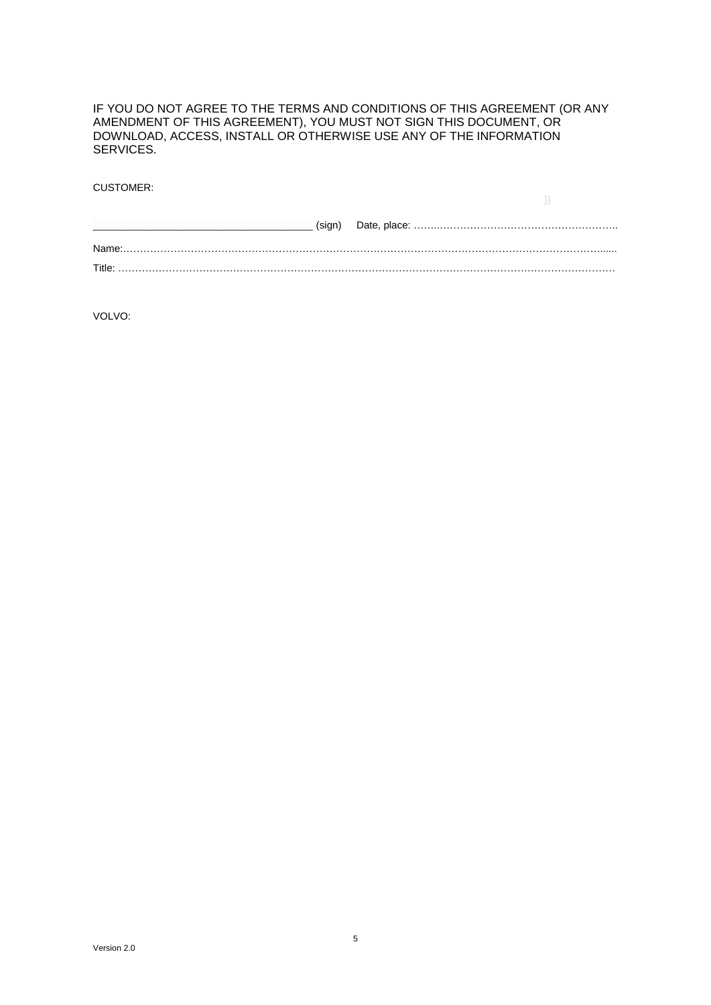IF YOU DO NOT AGREE TO THE TERMS AND CONDITIONS OF THIS AGREEMENT (OR ANY AMENDMENT OF THIS AGREEMENT), YOU MUST NOT SIGN THIS DOCUMENT, OR DOWNLOAD, ACCESS, INSTALL OR OTHERWISE USE ANY OF THE INFORMATION SERVICES.

CUSTOMER:

| (sign) |  |
|--------|--|
|        |  |
| Name:  |  |
| Title: |  |

VOLVO: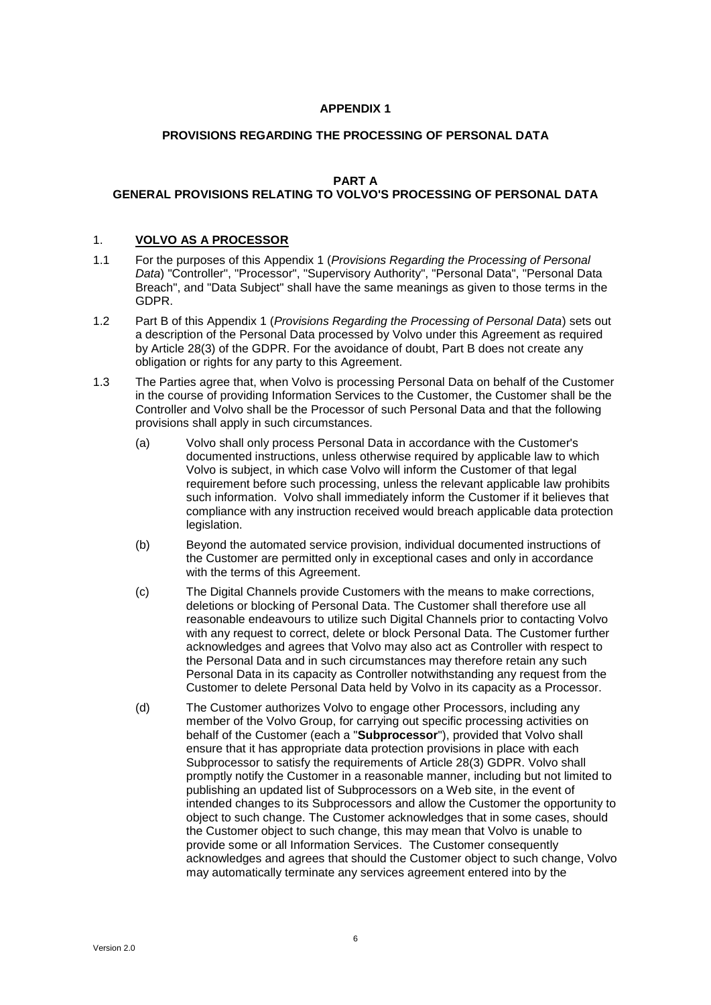## **APPENDIX 1**

## **PROVISIONS REGARDING THE PROCESSING OF PERSONAL DATA**

## **PART A**

# <span id="page-5-0"></span>**GENERAL PROVISIONS RELATING TO VOLVO'S PROCESSING OF PERSONAL DATA**

### 1. **VOLVO AS A PROCESSOR**

- 1.1 For the purposes of this [Appendix](#page-5-0) 1 (*[Provisions Regarding the Processing of Personal](#page-5-0)  [Data](#page-5-0)*) "Controller", "Processor", "Supervisory Authority", "Personal Data", "Personal Data Breach", and "Data Subject" shall have the same meanings as given to those terms in the GDPR.
- 1.2 [Part](#page-8-0) B of this [Appendix](#page-5-0) 1 (*[Provisions Regarding the Processing of Personal Data](#page-5-0)*) sets out a description of the Personal Data processed by Volvo under this Agreement as required by Article 28(3) of the GDPR. For the avoidance of doubt, Part B does not create any obligation or rights for any party to this Agreement.
- 1.3 The Parties agree that, when Volvo is processing Personal Data on behalf of the Customer in the course of providing Information Services to the Customer, the Customer shall be the Controller and Volvo shall be the Processor of such Personal Data and that the following provisions shall apply in such circumstances.
	- (a) Volvo shall only process Personal Data in accordance with the Customer's documented instructions, unless otherwise required by applicable law to which Volvo is subject, in which case Volvo will inform the Customer of that legal requirement before such processing, unless the relevant applicable law prohibits such information. Volvo shall immediately inform the Customer if it believes that compliance with any instruction received would breach applicable data protection legislation.
	- (b) Beyond the automated service provision, individual documented instructions of the Customer are permitted only in exceptional cases and only in accordance with the terms of this Agreement.
	- (c) The Digital Channels provide Customers with the means to make corrections, deletions or blocking of Personal Data. The Customer shall therefore use all reasonable endeavours to utilize such Digital Channels prior to contacting Volvo with any request to correct, delete or block Personal Data. The Customer further acknowledges and agrees that Volvo may also act as Controller with respect to the Personal Data and in such circumstances may therefore retain any such Personal Data in its capacity as Controller notwithstanding any request from the Customer to delete Personal Data held by Volvo in its capacity as a Processor.
	- (d) The Customer authorizes Volvo to engage other Processors, including any member of the Volvo Group, for carrying out specific processing activities on behalf of the Customer (each a "**Subprocessor**"), provided that Volvo shall ensure that it has appropriate data protection provisions in place with each Subprocessor to satisfy the requirements of Article 28(3) GDPR. Volvo shall promptly notify the Customer in a reasonable manner, including but not limited to publishing an updated list of Subprocessors on a Web site, in the event of intended changes to its Subprocessors and allow the Customer the opportunity to object to such change. The Customer acknowledges that in some cases, should the Customer object to such change, this may mean that Volvo is unable to provide some or all Information Services. The Customer consequently acknowledges and agrees that should the Customer object to such change, Volvo may automatically terminate any services agreement entered into by the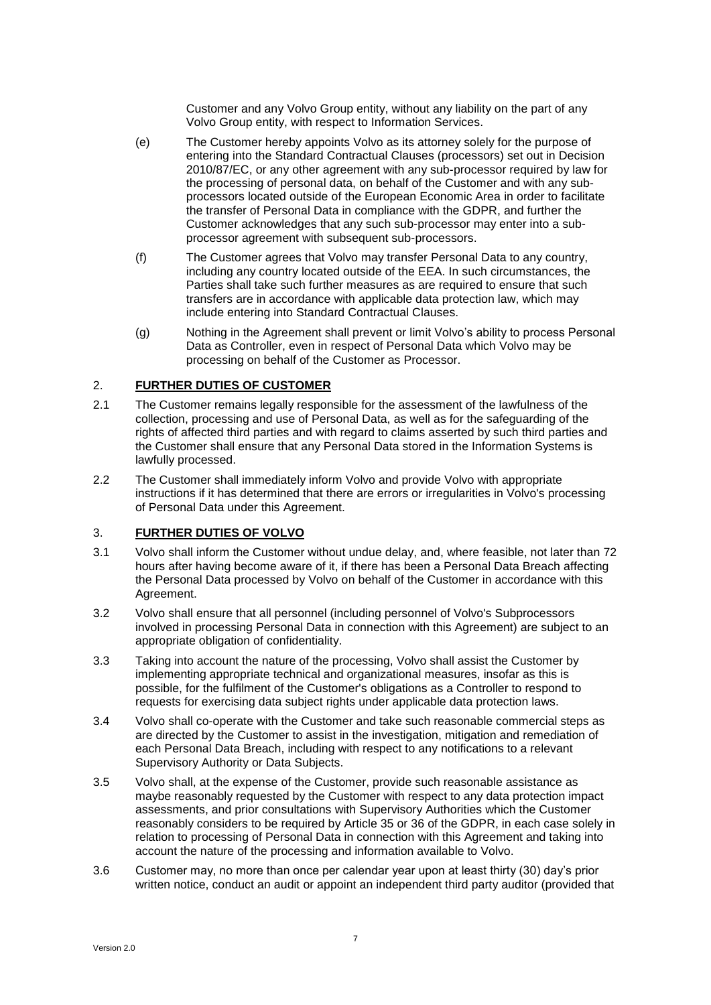Customer and any Volvo Group entity, without any liability on the part of any Volvo Group entity, with respect to Information Services.

- (e) The Customer hereby appoints Volvo as its attorney solely for the purpose of entering into the Standard Contractual Clauses (processors) set out in Decision 2010/87/EC, or any other agreement with any sub-processor required by law for the processing of personal data, on behalf of the Customer and with any subprocessors located outside of the European Economic Area in order to facilitate the transfer of Personal Data in compliance with the GDPR, and further the Customer acknowledges that any such sub-processor may enter into a subprocessor agreement with subsequent sub-processors.
- (f) The Customer agrees that Volvo may transfer Personal Data to any country, including any country located outside of the EEA. In such circumstances, the Parties shall take such further measures as are required to ensure that such transfers are in accordance with applicable data protection law, which may include entering into Standard Contractual Clauses.
- (g) Nothing in the Agreement shall prevent or limit Volvo's ability to process Personal Data as Controller, even in respect of Personal Data which Volvo may be processing on behalf of the Customer as Processor.

## 2. **FURTHER DUTIES OF CUSTOMER**

- 2.1 The Customer remains legally responsible for the assessment of the lawfulness of the collection, processing and use of Personal Data, as well as for the safeguarding of the rights of affected third parties and with regard to claims asserted by such third parties and the Customer shall ensure that any Personal Data stored in the Information Systems is lawfully processed.
- 2.2 The Customer shall immediately inform Volvo and provide Volvo with appropriate instructions if it has determined that there are errors or irregularities in Volvo's processing of Personal Data under this Agreement.

# 3. **FURTHER DUTIES OF VOLVO**

- 3.1 Volvo shall inform the Customer without undue delay, and, where feasible, not later than 72 hours after having become aware of it, if there has been a Personal Data Breach affecting the Personal Data processed by Volvo on behalf of the Customer in accordance with this Agreement.
- 3.2 Volvo shall ensure that all personnel (including personnel of Volvo's Subprocessors involved in processing Personal Data in connection with this Agreement) are subject to an appropriate obligation of confidentiality.
- 3.3 Taking into account the nature of the processing, Volvo shall assist the Customer by implementing appropriate technical and organizational measures, insofar as this is possible, for the fulfilment of the Customer's obligations as a Controller to respond to requests for exercising data subject rights under applicable data protection laws.
- 3.4 Volvo shall co-operate with the Customer and take such reasonable commercial steps as are directed by the Customer to assist in the investigation, mitigation and remediation of each Personal Data Breach, including with respect to any notifications to a relevant Supervisory Authority or Data Subjects.
- 3.5 Volvo shall, at the expense of the Customer, provide such reasonable assistance as maybe reasonably requested by the Customer with respect to any data protection impact assessments, and prior consultations with Supervisory Authorities which the Customer reasonably considers to be required by Article 35 or 36 of the GDPR, in each case solely in relation to processing of Personal Data in connection with this Agreement and taking into account the nature of the processing and information available to Volvo.
- <span id="page-6-0"></span>3.6 Customer may, no more than once per calendar year upon at least thirty (30) day's prior written notice, conduct an audit or appoint an independent third party auditor (provided that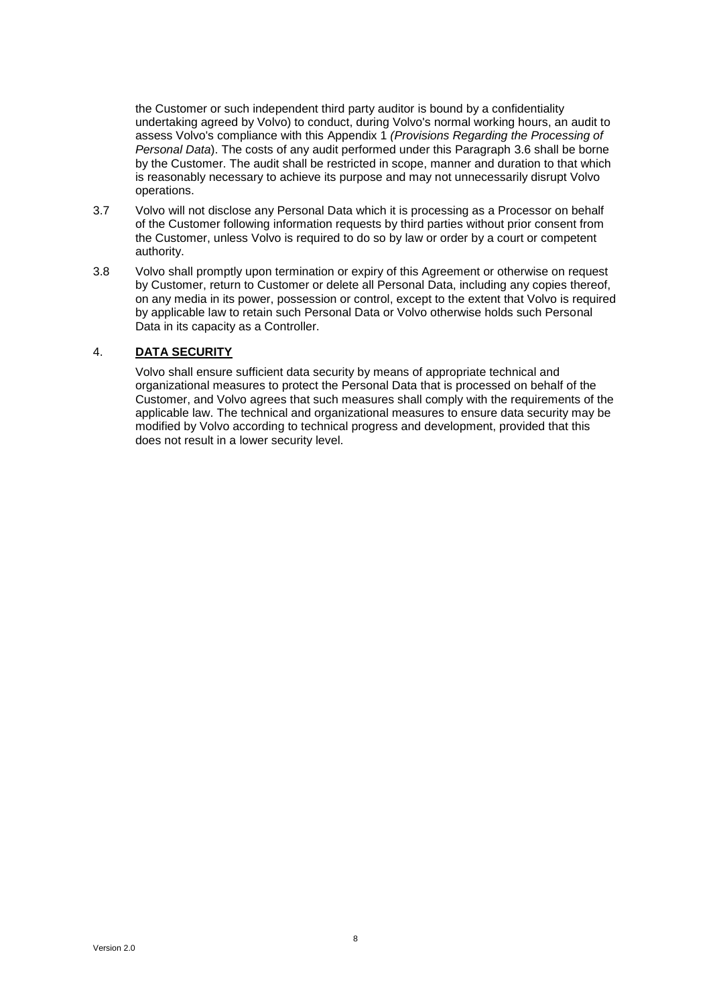the Customer or such independent third party auditor is bound by a confidentiality undertaking agreed by Volvo) to conduct, during Volvo's normal working hours, an audit to assess Volvo's compliance with this [Appendix](#page-5-0) 1 *[\(Provisions Regarding the Processing of](#page-5-0)  [Personal Data](#page-5-0)*). The costs of any audit performed under this Paragraph [3.6](#page-6-0) shall be borne by the Customer. The audit shall be restricted in scope, manner and duration to that which is reasonably necessary to achieve its purpose and may not unnecessarily disrupt Volvo operations.

- 3.7 Volvo will not disclose any Personal Data which it is processing as a Processor on behalf of the Customer following information requests by third parties without prior consent from the Customer, unless Volvo is required to do so by law or order by a court or competent authority.
- 3.8 Volvo shall promptly upon termination or expiry of this Agreement or otherwise on request by Customer, return to Customer or delete all Personal Data, including any copies thereof, on any media in its power, possession or control, except to the extent that Volvo is required by applicable law to retain such Personal Data or Volvo otherwise holds such Personal Data in its capacity as a Controller.

# 4. **DATA SECURITY**

Volvo shall ensure sufficient data security by means of appropriate technical and organizational measures to protect the Personal Data that is processed on behalf of the Customer, and Volvo agrees that such measures shall comply with the requirements of the applicable law. The technical and organizational measures to ensure data security may be modified by Volvo according to technical progress and development, provided that this does not result in a lower security level.